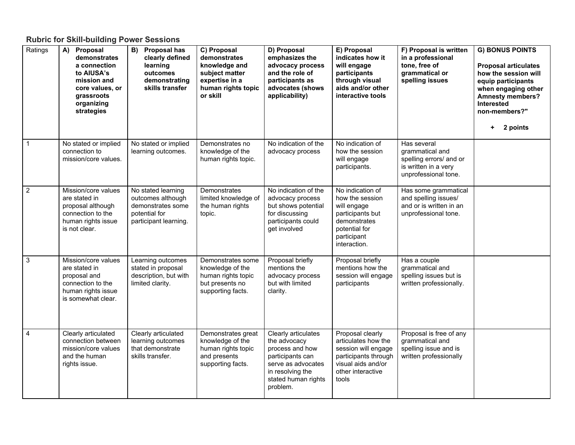## **Rubric for Skill-building Power Sessions**

| Ratings                   | Proposal<br>A)<br>demonstrates<br>a connection<br>to AIUSA's<br>mission and<br>core values, or<br>grassroots<br>organizing<br>strategies | B)<br><b>Proposal has</b><br>clearly defined<br>learning<br>outcomes<br>demonstrating<br>skills transfer | C) Proposal<br>demonstrates<br>knowledge and<br>subject matter<br>expertise in a<br>human rights topic<br>or skill | D) Proposal<br>emphasizes the<br>advocacy process<br>and the role of<br>participants as<br>advocates (shows<br>applicability)                           | E) Proposal<br>indicates how it<br>will engage<br>participants<br>through visual<br>aids and/or other<br>interactive tools                 | F) Proposal is written<br>in a professional<br>tone, free of<br>grammatical or<br>spelling issues         | <b>G) BONUS POINTS</b><br><b>Proposal articulates</b><br>how the session will<br>equip participants<br>when engaging other<br><b>Amnesty members?</b><br>Interested<br>non-members?"<br>2 points<br>٠. |
|---------------------------|------------------------------------------------------------------------------------------------------------------------------------------|----------------------------------------------------------------------------------------------------------|--------------------------------------------------------------------------------------------------------------------|---------------------------------------------------------------------------------------------------------------------------------------------------------|--------------------------------------------------------------------------------------------------------------------------------------------|-----------------------------------------------------------------------------------------------------------|--------------------------------------------------------------------------------------------------------------------------------------------------------------------------------------------------------|
| $\mathbf 1$               | No stated or implied<br>connection to<br>mission/core values.                                                                            | No stated or implied<br>learning outcomes.                                                               | Demonstrates no<br>knowledge of the<br>human rights topic.                                                         | No indication of the<br>advocacy process                                                                                                                | No indication of<br>how the session<br>will engage<br>participants.                                                                        | Has several<br>grammatical and<br>spelling errors/ and or<br>is written in a very<br>unprofessional tone. |                                                                                                                                                                                                        |
| 2                         | Mission/core values<br>are stated in<br>proposal although<br>connection to the<br>human rights issue<br>is not clear.                    | No stated learning<br>outcomes although<br>demonstrates some<br>potential for<br>participant learning.   | Demonstrates<br>limited knowledge of<br>the human rights<br>topic.                                                 | No indication of the<br>advocacy process<br>but shows potential<br>for discussing<br>participants could<br>get involved                                 | No indication of<br>how the session<br>will engage<br>participants but<br>demonstrates<br>potential for<br>participant<br>interaction.     | Has some grammatical<br>and spelling issues/<br>and or is written in an<br>unprofessional tone.           |                                                                                                                                                                                                        |
| $\ensuremath{\mathsf{3}}$ | Mission/core values<br>are stated in<br>proposal and<br>connection to the<br>human rights issue<br>is somewhat clear.                    | Learning outcomes<br>stated in proposal<br>description, but with<br>limited clarity.                     | Demonstrates some<br>knowledge of the<br>human rights topic<br>but presents no<br>supporting facts.                | Proposal briefly<br>mentions the<br>advocacy process<br>but with limited<br>clarity.                                                                    | Proposal briefly<br>mentions how the<br>session will engage<br>participants                                                                | Has a couple<br>grammatical and<br>spelling issues but is<br>written professionally.                      |                                                                                                                                                                                                        |
| 4                         | Clearly articulated<br>connection between<br>mission/core values<br>and the human<br>rights issue.                                       | Clearly articulated<br>learning outcomes<br>that demonstrate<br>skills transfer.                         | Demonstrates great<br>knowledge of the<br>human rights topic<br>and presents<br>supporting facts.                  | Clearly articulates<br>the advocacy<br>process and how<br>participants can<br>serve as advocates<br>in resolving the<br>stated human rights<br>problem. | Proposal clearly<br>articulates how the<br>session will engage<br>participants through<br>visual aids and/or<br>other interactive<br>tools | Proposal is free of any<br>grammatical and<br>spelling issue and is<br>written professionally             |                                                                                                                                                                                                        |